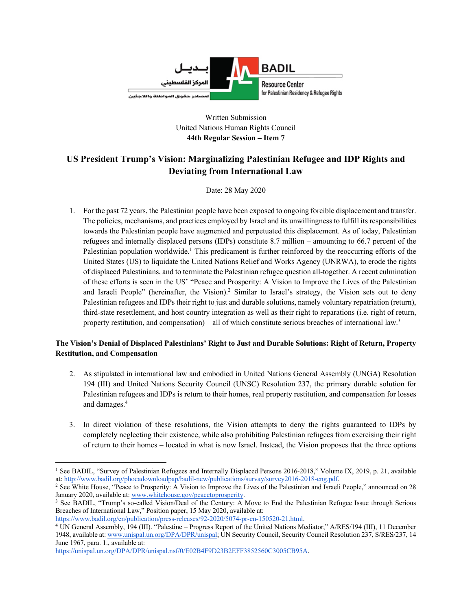

Written Submission United Nations Human Rights Council **44th Regular Session – Item 7**

# **US President Trump's Vision: Marginalizing Palestinian Refugee and IDP Rights and Deviating from International Law**

Date: 28 May 2020

1. For the past 72 years, the Palestinian people have been exposed to ongoing forcible displacement and transfer. The policies, mechanisms, and practices employed by Israel and its unwillingness to fulfill its responsibilities towards the Palestinian people have augmented and perpetuated this displacement. As of today, Palestinian refugees and internally displaced persons (IDPs) constitute 8.7 million – amounting to 66.7 percent of the Palestinian population worldwide.<sup>1</sup> This predicament is further reinforced by the reoccurring efforts of the United States (US) to liquidate the United Nations Relief and Works Agency (UNRWA), to erode the rights of displaced Palestinians, and to terminate the Palestinian refugee question all-together. A recent culmination of these efforts is seen in the US' "Peace and Prosperity: A Vision to Improve the Lives of the Palestinian and Israeli People" (hereinafter, the Vision).<sup>2</sup> Similar to Israel's strategy, the Vision sets out to deny Palestinian refugees and IDPs their right to just and durable solutions, namely voluntary repatriation (return), third-state resettlement, and host country integration as well as their right to reparations (i.e. right of return, property restitution, and compensation) – all of which constitute serious breaches of international law.<sup>3</sup>

# **The Vision's Denial of Displaced Palestinians' Right to Just and Durable Solutions: Right of Return, Property Restitution, and Compensation**

- 2. As stipulated in international law and embodied in United Nations General Assembly (UNGA) Resolution 194 (III) and United Nations Security Council (UNSC) Resolution 237, the primary durable solution for Palestinian refugees and IDPs is return to their homes, real property restitution, and compensation for losses and damages.<sup>4</sup>
- 3. In direct violation of these resolutions, the Vision attempts to deny the rights guaranteed to IDPs by completely neglecting their existence, while also prohibiting Palestinian refugees from exercising their right of return to their homes – located in what is now Israel. Instead, the Vision proposes that the three options

<sup>1</sup> See BADIL, "Survey of Palestinian Refugees and Internally Displaced Persons 2016-2018," Volume IX, 2019, p. 21, available

at: http://www.badil.org/phocadownloadpap/badil-new/publications/survay/survey2016-2018-eng.pdf.<br><sup>2</sup> See White House, "Peace to Prosperity: A Vision to Improve the Lives of the Palestinian and Israeli People," announced on

<sup>&</sup>lt;sup>3</sup> See BADIL, "Trump's so-called Vision/Deal of the Century: A Move to End the Palestinian Refugee Issue through Serious Breaches of International Law," Position paper, 15 May 2020, available at:

https://www.badil.org/en/publication/press-releases/92-2020/5074-pr-en-150520-21.html.<br><sup>4</sup> UN General Assembly, 194 (III). "Palestine – Progress Report of the United Nations Mediator," A/RES/194 (III), 11 December 1948, available at: www.unispal.un.org/DPA/DPR/unispal; UN Security Council, Security Council Resolution 237, S/RES/237, 14 June 1967, para. 1., available at:

https://unispal.un.org/DPA/DPR/unispal.nsf/0/E02B4F9D23B2EFF3852560C3005CB95A.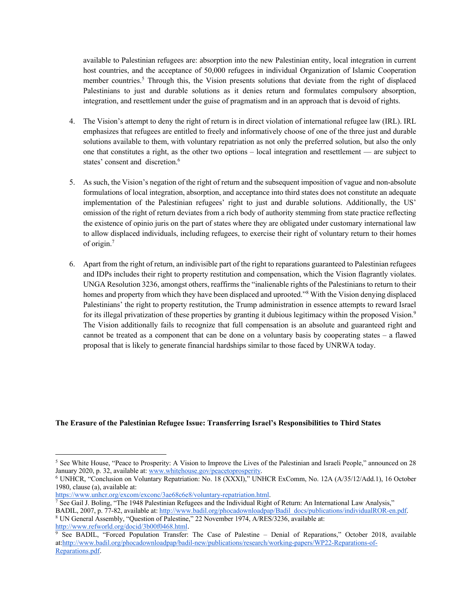available to Palestinian refugees are: absorption into the new Palestinian entity, local integration in current host countries, and the acceptance of 50,000 refugees in individual Organization of Islamic Cooperation member countries.<sup>5</sup> Through this, the Vision presents solutions that deviate from the right of displaced Palestinians to just and durable solutions as it denies return and formulates compulsory absorption, integration, and resettlement under the guise of pragmatism and in an approach that is devoid of rights.

- 4. The Vision's attempt to deny the right of return is in direct violation of international refugee law (IRL). IRL emphasizes that refugees are entitled to freely and informatively choose of one of the three just and durable solutions available to them, with voluntary repatriation as not only the preferred solution, but also the only one that constitutes a right, as the other two options – local integration and resettlement — are subject to states' consent and discretion.<sup>6</sup>
- 5. As such, the Vision's negation of the right of return and the subsequent imposition of vague and non-absolute formulations of local integration, absorption, and acceptance into third states does not constitute an adequate implementation of the Palestinian refugees' right to just and durable solutions. Additionally, the US' omission of the right of return deviates from a rich body of authority stemming from state practice reflecting the existence of opinio juris on the part of states where they are obligated under customary international law to allow displaced individuals, including refugees, to exercise their right of voluntary return to their homes of origin.7
- 6. Apart from the right of return, an indivisible part of the right to reparations guaranteed to Palestinian refugees and IDPs includes their right to property restitution and compensation, which the Vision flagrantly violates. UNGA Resolution 3236, amongst others, reaffirms the "inalienable rights of the Palestinians to return to their homes and property from which they have been displaced and uprooted."<sup>8</sup> With the Vision denying displaced Palestinians' the right to property restitution, the Trump administration in essence attempts to reward Israel for its illegal privatization of these properties by granting it dubious legitimacy within the proposed Vision.<sup>9</sup> The Vision additionally fails to recognize that full compensation is an absolute and guaranteed right and cannot be treated as a component that can be done on a voluntary basis by cooperating states – a flawed proposal that is likely to generate financial hardships similar to those faced by UNRWA today.

## **The Erasure of the Palestinian Refugee Issue: Transferring Israel's Responsibilities to Third States**

http://www.refworld.org/docid/3b00f0468.html.

<sup>5</sup> See White House, "Peace to Prosperity: A Vision to Improve the Lives of the Palestinian and Israeli People," announced on 28 January 2020, p. 32, available at: www.whitehouse.gov/peacetoprosperity.<br><sup>6</sup> UNHCR, "Conclusion on Voluntary Repatriation: No. 18 (XXXI)," UNHCR ExComm, No. 12A (A/35/12/Add.1), 16 October

<sup>1980,</sup> clause (a), available at:<br>https://www.unhcr.org/excom/exconc/3ae68c6e8/voluntary-repatriation.html.

https://www.unhcr.org/excom/exconc/3ae68c6e8/voluntary-repatriation.html.<br><sup>7</sup> See Gail J. Boling, "The 1948 Palestinian Refugees and the Individual Right of Return: An International Law Analysis,"

BADIL, 2007, p. 77-82, available at: http://www.badil.org/phocadownloadpap/Badil\_docs/publications/individualROR-en.pdf. 8 UN General Assembly, "Question of Palestine," 22 November 1974, A/RES/3236, available at:

<sup>9</sup> See BADIL, "Forced Population Transfer: The Case of Palestine – Denial of Reparations," October 2018, available at:http://www.badil.org/phocadownloadpap/badil-new/publications/research/working-papers/WP22-Reparations-of-Reparations.pdf.